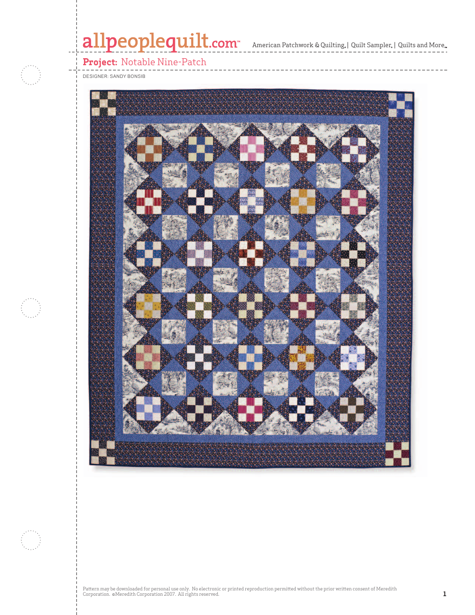# allpeoplequilt.com<sup>"</sup> American Patchwork & Quilting, | Quilt Sampler, | Quilts and More.



**Project:** Notable Nine-Patch

DESIGNER: SANDY BONSIB







Pattern may be downloaded for personal use only. No electronic or printed reproduction permitted without the prior written consent of Meredith<br>Corporation. ©Meredith Corporation 2007. All rights reserved.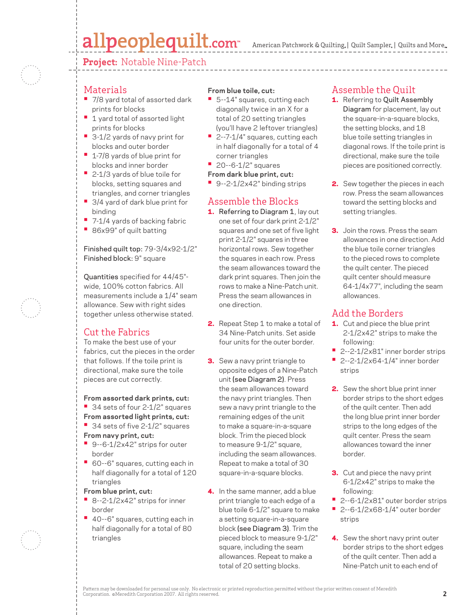## allpeoplequilt.com

American Patchwork & Quilting,  $|$  Quilt Sampler,  $|$  Quilts and More,

**Project:** Notable Nine-Patch



#### **Materials**

- 7/8 yard total of assorted dark prints for blocks
- 1 yard total of assorted light prints for blocks
- 3-1/2 yards of navy print for blocks and outer border
- 1-7/8 yards of blue print for blocks and inner border
- 2-1/3 yards of blue toile for blocks, setting squares and triangles, and corner triangles
- 3/4 yard of dark blue print for binding
- 7-1/4 yards of backing fabric
- 86x99" of quilt batting

Finished quilt top: 79-3/4x92-1/2" Finished block: 9" square

Quantities specified for 44/45" wide, 100% cotton fabrics. All measurements include a 1/4" seam allowance. Sew with right sides together unless otherwise stated.

### Cut the Fabrics

To make the best use of your fabrics, cut the pieces in the order that follows. If the toile print is directional, make sure the toile pieces are cut correctly.

**From assorted dark prints, cut: •** 34 sets of four 2-1/2" squares **From assorted light prints, cut:**

- 34 sets of five 2-1/2" squares **From navy print, cut:**
- 9--6-1/2x42" strips for outer border
- 60--6" squares, cutting each in half diagonally for a total of 120 triangles

**From blue print, cut:**

- 8--2-1/2x42" strips for inner border
- 40--6" squares, cutting each in half diagonally for a total of 80 triangles

#### **From blue toile, cut:**

- 5--14" squares, cutting each diagonally twice in an X for a total of 20 setting triangles (you'll have 2 leftover triangles)
- 2--7-1/4" squares, cutting each in half diagonally for a total of 4 corner triangles
- 20--6-1/2" squares
- **From dark blue print, cut:**
- 9--2-1/2x42" binding strips

### Assemble the Blocks

- **1.** Referring to Diagram 1, lay out one set of four dark print 2-1/2" squares and one set of five light print 2-1/2" squares in three horizontal rows. Sew together the squares in each row. Press the seam allowances toward the dark print squares. Then join the rows to make a Nine-Patch unit. Press the seam allowances in one direction.
- 2. Repeat Step 1 to make a total of 34 Nine-Patch units. Set aside four units for the outer border.
- **3.** Sew a navy print triangle to opposite edges of a Nine-Patch unit (see Diagram 2). Press the seam allowances toward the navy print triangles. Then sew a navy print triangle to the remaining edges of the unit to make a square-in-a-square block. Trim the pieced block to measure 9-1/2" square, including the seam allowances. Repeat to make a total of 30 square-in-a-square blocks.
- 4. In the same manner, add a blue print triangle to each edge of a blue toile 6-1/2" square to make a setting square-in-a-square block (see Diagram 3). Trim the pieced block to measure 9-1/2" square, including the seam allowances. Repeat to make a total of 20 setting blocks.

#### Assemble the Quilt

- 1. Referring to Quilt Assembly Diagram for placement, lay out the square-in-a-square blocks, the setting blocks, and 18 blue toile setting triangles in diagonal rows. If the toile print is directional, make sure the toile pieces are positioned correctly.
- 2. Sew together the pieces in each row. Press the seam allowances toward the setting blocks and setting triangles.
- **3.** Join the rows. Press the seam allowances in one direction. Add the blue toile corner triangles to the pieced rows to complete the quilt center. The pieced quilt center should measure 64-1/4x77", including the seam allowances.

#### Add the Borders

- 1. Cut and piece the blue print 2-1/2x42" strips to make the following:
- 2--2-1/2x81" inner border strips
- 2--2-1/2x64-1/4" inner border strips
- 2. Sew the short blue print inner border strips to the short edges of the quilt center. Then add the long blue print inner border strips to the long edges of the quilt center. Press the seam allowances toward the inner border.
- **3.** Cut and piece the navy print 6-1/2x42" strips to make the following:
- 2--6-1/2x81" outer border strips
- 2--6-1/2x68-1/4" outer border strips
- 4. Sew the short navy print outer border strips to the short edges of the quilt center. Then add a Nine-Patch unit to each end of